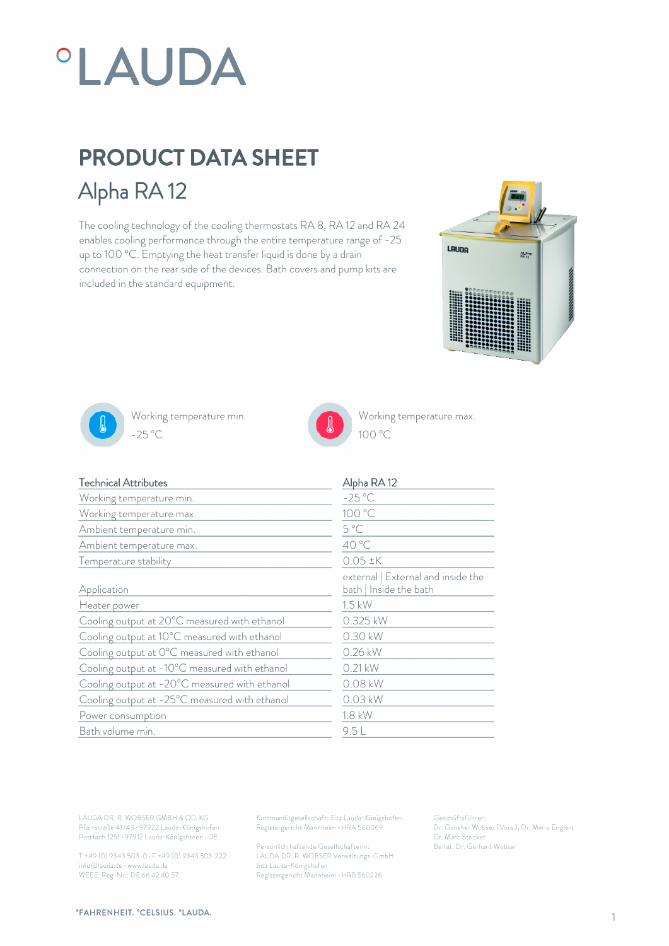## **°LAUDA**

## PRODUCT DATA SHEET Alpha RA 12

The cooling technology of the cooling thermostats RA 8, RA 12 and RA 24 enables cooling performance through the entire temperature range of -25 up to 100 °C. Emptying the heat transfer liquid is done by a drain connection on the rear side of the devices. Bath covers and pump kits are included in the standard equipment.





Working temperature min. -25 °C 100 °C



Working temperature max.  $100 \degree C$ 

| Technical Attributes                          | Alpha RA12                                                   |
|-----------------------------------------------|--------------------------------------------------------------|
| Working temperature min.                      | $-25^{\circ}$ C                                              |
| Working temperature max.                      | 100 °C                                                       |
| Ambient temperature min.                      | $5^{\circ}$ C                                                |
| Ambient temperature max.                      | 40 °C                                                        |
| Temperature stability                         | $0.05 \pm K$                                                 |
| Application                                   | external   External and inside the<br>bath   Inside the bath |
| Heater power                                  | 1.5 kW                                                       |
| Cooling output at 20°C measured with ethanol  | 0.325 kW                                                     |
| Cooling output at 10°C measured with ethanol  | 0.30 kW                                                      |
| Cooling output at 0°C measured with ethanol   | 0.26 kW                                                      |
| Cooling output at -10°C measured with ethanol | $0.21$ kW                                                    |
| Cooling output at -20°C measured with ethanol | 0.08 kW                                                      |
| Cooling output at -25°C measured with ethanol | $0.03$ kW                                                    |
| Power consumption                             | 1.8 kW                                                       |
| Bath volume min.                              | 9.5L                                                         |

LAUDA DR. R. WOBSER GMBH & CO. KG Pfarrstraße 41/43 · 97922 Lauda-Königshofen Postfach 1251 · 97912 Lauda-Königshofen · DE

T +49 (0) 9343 503-0 · F +49 (0) 9343 503-222 info@lauda.de · www.lauda.de WEEE-Reg-Nr.: DE 66 42 40 57

Kommanditgesellschaft: Sitz Lauda-Königshofen Registergericht Mannheim · HRA 560069

Persönlich haftende Gesellschafterin: LAUDA DR. R. WOBSER Verwaltungs-GmbH Sitz Lauda-Königshofen Registergericht Mannheim · HRB 560226

Geschäftsführer: Dr. Gunther Wobser (Vors.), Dr. Mario Englert Dr. Marc Stricker Beirat: Dr. Gerhard Wobser